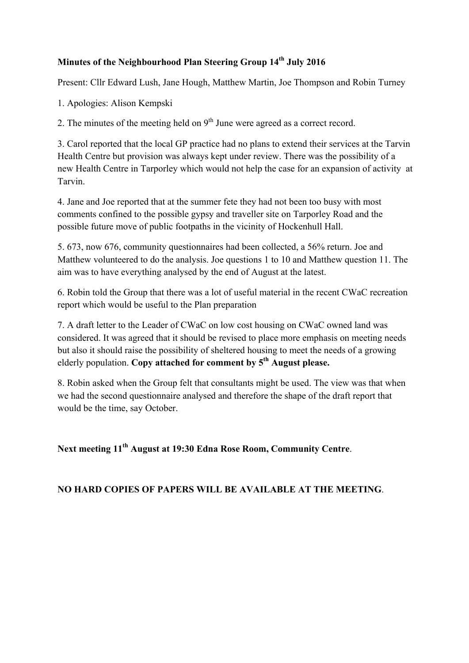## **Minutes of the Neighbourhood Plan Steering Group 14<sup>th</sup> July 2016**

Present: Cllr Edward Lush, Jane Hough, Matthew Martin, Joe Thompson and Robin Turney

1. Apologies: Alison Kempski

2. The minutes of the meeting held on  $9<sup>th</sup>$  June were agreed as a correct record.

3. Carol reported that the local GP practice had no plans to extend their services at the Tarvin Health Centre but provision was always kept under review. There was the possibility of a new Health Centre in Tarporley which would not help the case for an expansion of activity at Tarvin.

4. Jane and Joe reported that at the summer fete they had not been too busy with most comments confined to the possible gypsy and traveller site on Tarporley Road and the possible future move of public footpaths in the vicinity of Hockenhull Hall.

5. 673, now 676, community questionnaires had been collected, a 56% return. Joe and Matthew volunteered to do the analysis. Joe questions 1 to 10 and Matthew question 11. The aim was to have everything analysed by the end of August at the latest.

6. Robin told the Group that there was a lot of useful material in the recent CWaC recreation report which would be useful to the Plan preparation

7. A draft letter to the Leader of CWaC on low cost housing on CWaC owned land was considered. It was agreed that it should be revised to place more emphasis on meeting needs but also it should raise the possibility of sheltered housing to meet the needs of a growing elderly population. **Copy attached for comment by 5th August please.**

8. Robin asked when the Group felt that consultants might be used. The view was that when we had the second questionnaire analysed and therefore the shape of the draft report that would be the time, say October.

**Next meeting 11th August at 19:30 Edna Rose Room, Community Centre**.

**NO HARD COPIES OF PAPERS WILL BE AVAILABLE AT THE MEETING**.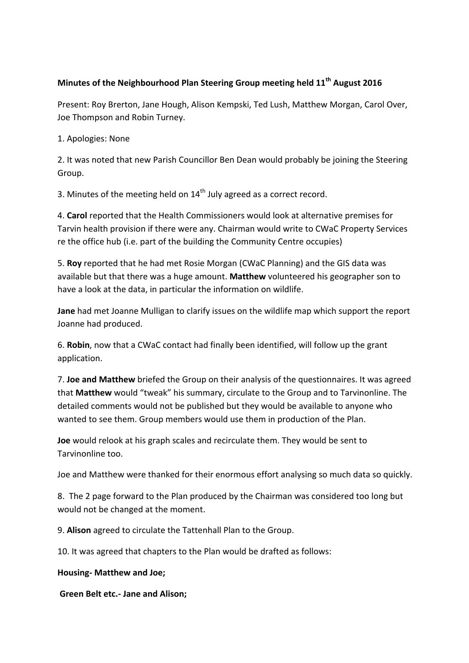## **Minutes of the Neighbourhood Plan Steering Group meeting held 11<sup>th</sup> August 2016**

Present: Roy Brerton, Jane Hough, Alison Kempski, Ted Lush, Matthew Morgan, Carol Over, Joe Thompson and Robin Turney.

1. Apologies: None

2. It was noted that new Parish Councillor Ben Dean would probably be joining the Steering Group.

3. Minutes of the meeting held on  $14<sup>th</sup>$  July agreed as a correct record.

4. Carol reported that the Health Commissioners would look at alternative premises for Tarvin health provision if there were any. Chairman would write to CWaC Property Services re the office hub (i.e. part of the building the Community Centre occupies)

5. **Roy** reported that he had met Rosie Morgan (CWaC Planning) and the GIS data was available but that there was a huge amount. Matthew volunteered his geographer son to have a look at the data, in particular the information on wildlife.

**Jane** had met Joanne Mulligan to clarify issues on the wildlife map which support the report Joanne had produced.

6. Robin, now that a CWaC contact had finally been identified, will follow up the grant application.

7. **Joe and Matthew** briefed the Group on their analysis of the questionnaires. It was agreed that **Matthew** would "tweak" his summary, circulate to the Group and to Tarvinonline. The detailed comments would not be published but they would be available to anyone who wanted to see them. Group members would use them in production of the Plan.

**Joe** would relook at his graph scales and recirculate them. They would be sent to Tarvinonline too.

Joe and Matthew were thanked for their enormous effort analysing so much data so quickly.

8. The 2 page forward to the Plan produced by the Chairman was considered too long but would not be changed at the moment.

9. **Alison** agreed to circulate the Tattenhall Plan to the Group.

10. It was agreed that chapters to the Plan would be drafted as follows:

**Housing- Matthew and Joe;**

**Green Belt etc.- Jane and Alison;**